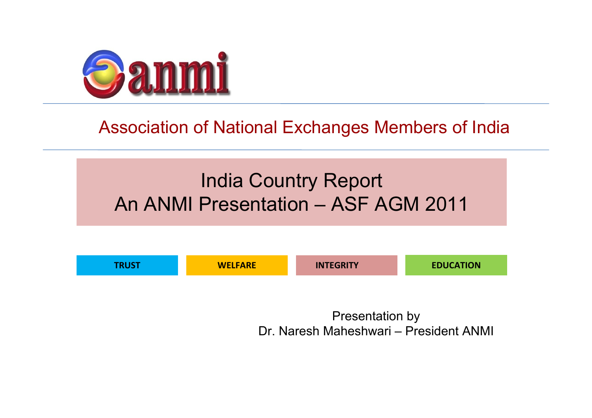

#### Association of National Exchanges Members of India

#### India Country Report An ANMI Presentation – ASF AGM 2011



Presentation by Dr. Naresh Maheshwari – President ANMI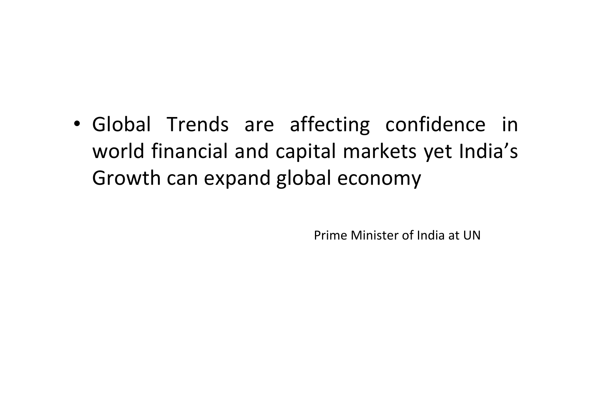• Global Trends are affecting confidence in world financial and capital markets yet India's Growth can expand global economy

Prime Minister of India at UN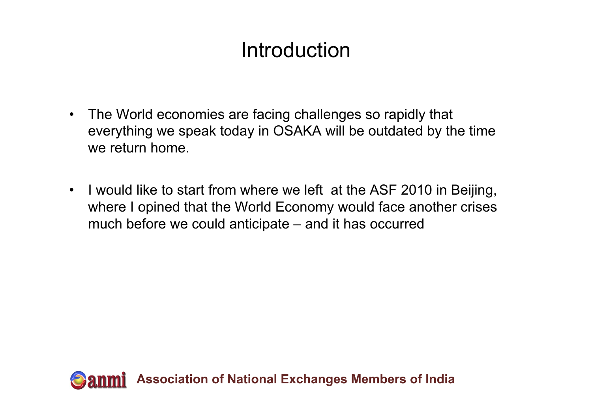### Introduction

- $\bullet$  The World economies are facing challenges so rapidly that everything we speak today in OSAKA will be outdated by the time we return home.
- $\bullet$  I would like to start from where we left at the ASF 2010 in Beijing, where I opined that the World Economy would face another crises much before we could anticipate – and it has occurred

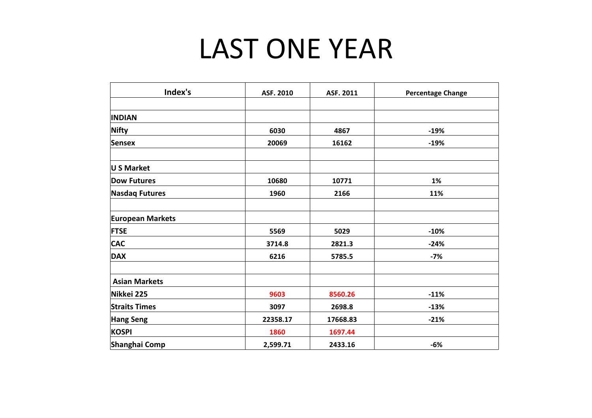## LAST ONE YEAR

| Index's                 | ASF. 2010 | ASF. 2011 | <b>Percentage Change</b> |  |  |
|-------------------------|-----------|-----------|--------------------------|--|--|
|                         |           |           |                          |  |  |
| <b>INDIAN</b>           |           |           |                          |  |  |
| Nifty                   | 6030      | 4867      | $-19%$                   |  |  |
| Sensex                  | 20069     | 16162     | $-19%$                   |  |  |
| U S Market              |           |           |                          |  |  |
| <b>Dow Futures</b>      | 10680     | 10771     | 1%                       |  |  |
| <b>Nasdaq Futures</b>   | 1960      | 2166      | 11%                      |  |  |
| <b>European Markets</b> |           |           |                          |  |  |
| <b>FTSE</b>             | 5569      | 5029      | $-10%$                   |  |  |
| <b>CAC</b>              | 3714.8    | 2821.3    | $-24%$                   |  |  |
| <b>DAX</b>              | 6216      | 5785.5    | $-7%$                    |  |  |
| <b>Asian Markets</b>    |           |           |                          |  |  |
| Nikkei 225              | 9603      | 8560.26   | $-11%$                   |  |  |
| <b>Straits Times</b>    | 3097      | 2698.8    | $-13%$                   |  |  |
| Hang Seng               | 22358.17  | 17668.83  | $-21%$                   |  |  |
| <b>KOSPI</b>            | 1860      | 1697.44   |                          |  |  |
| Shanghai Comp           | 2,599.71  | 2433.16   | $-6%$                    |  |  |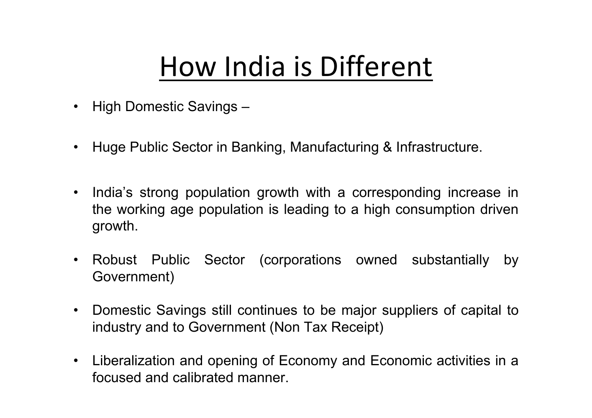## How India is Different

- $\bullet$ High Domestic Savings –
- $\bullet$ Huge Public Sector in Banking, Manufacturing & Infrastructure.
- India's strong population growth with a corresponding increase in the working age population is leading to a high consumption driven growth.
- Robust Public Sector (corporations owned substantially by Government)
- Domestic Savings still continues to be major suppliers of capital to industry and to Government (Non Tax Receipt)
- Liberalization and opening of Economy and Economic activities in <sup>a</sup> focused and calibrated manner.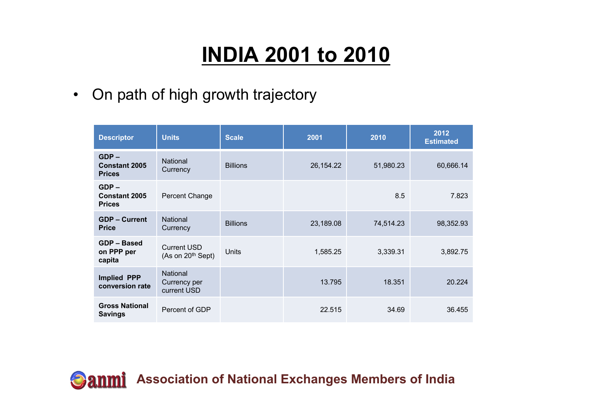### **INDIA 2001 to 2010**

•On path of high growth trajectory

| <b>Descriptor</b>                                | <b>Units</b>                              | <b>Scale</b>    | 2001        | 2010      | 2012<br><b>Estimated</b> |
|--------------------------------------------------|-------------------------------------------|-----------------|-------------|-----------|--------------------------|
| $GDP -$<br><b>Constant 2005</b><br><b>Prices</b> | <b>National</b><br>Currency               | <b>Billions</b> | 26, 154. 22 | 51,980.23 | 60,666.14                |
| $GDP -$<br><b>Constant 2005</b><br><b>Prices</b> | Percent Change                            |                 |             | 8.5       | 7.823                    |
| <b>GDP - Current</b><br><b>Price</b>             | <b>National</b><br>Currency               | <b>Billions</b> | 23,189.08   | 74,514.23 | 98,352.93                |
| GDP - Based<br>on PPP per<br>capita              | <b>Current USD</b><br>(As on $20th$ Sept) | Units           | 1,585.25    | 3,339.31  | 3,892.75                 |
| <b>Implied PPP</b><br>conversion rate            | National<br>Currency per<br>current USD   |                 | 13.795      | 18.351    | 20.224                   |
| <b>Gross National</b><br><b>Savings</b>          | Percent of GDP                            |                 | 22.515      | 34.69     | 36.455                   |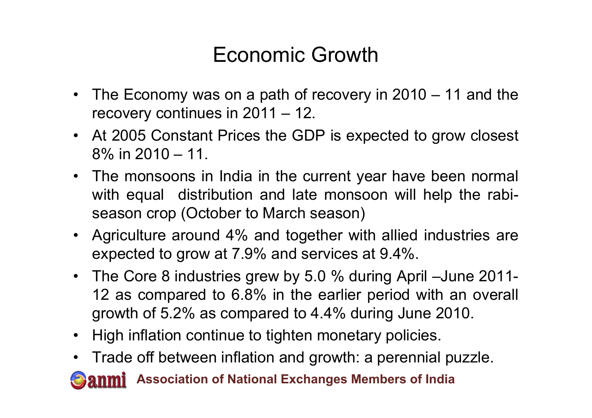#### Economic Growth

- The Economy was on a path of recovery in 2010 11 and the recovery continues in 2011 – 12.
- At 2005 Constant Prices the GDP is expected to grow closest 8% in 2010 – 11.
- The monsoons in India in the current year have been normal with equal distribution and late monsoon will help the rabiseason crop (October to March season)
- Agriculture around 4% and together with allied industries are expected to grow at 7.9% and services at 9.4%.
- The Core 8 industries grew by 5.0 % during April –June 2011- 12 as compared to 6.8% in the earlier period with an overall growth of 5.2% as compared to 4.4% during June 2010.
- High inflation continue to tighten monetary policies.
- Trade off between inflation and growth: a perennial puzzle.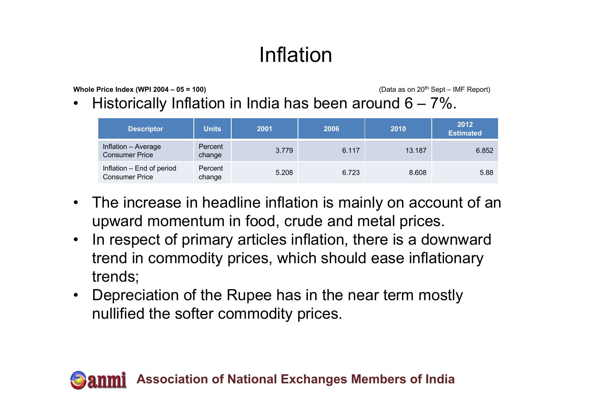## Inflation

**Whole Price Index (WPI 2004 – 05 = 100)** (Data as on 20<sup>th</sup> Sept – IMF Report)

•Historically Inflation in India has been around  $6 - 7\%$ .

| <b>Descriptor</b>                                  | <b>Units</b>      | 2001  | 2006  | 2010   | 2012<br><b>Estimated</b> |
|----------------------------------------------------|-------------------|-------|-------|--------|--------------------------|
| Inflation - Average<br><b>Consumer Price</b>       | Percent<br>change | 3.779 | 6.117 | 13.187 | 6.852                    |
| Inflation - End of period<br><b>Consumer Price</b> | Percent<br>change | 5.208 | 6.723 | 8.608  | 5.88                     |

- The increase in headline inflation is mainly on account of an upward momentum in food, crude and metal prices.
- $\bullet$  In respect of primary articles inflation, there is a downward trend in commodity prices, which should ease inflationary trends;
- Depreciation of the Rupee has in the near term mostly nullified the softer commodity prices.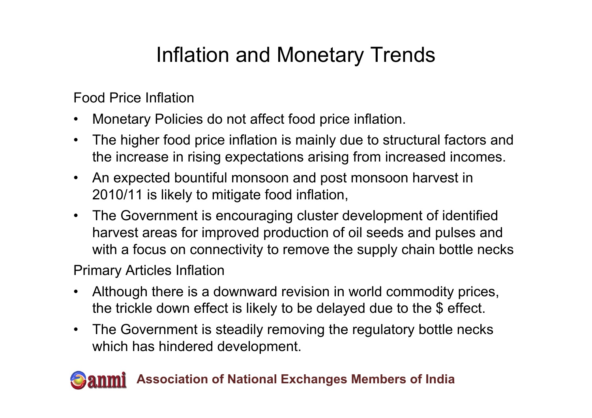### Inflation and Monetary Trends

Food Price Inflation

- $\bullet$ Monetary Policies do not affect food price inflation.
- $\bullet$  The higher food price inflation is mainly due to structural factors and the increase in rising expectations arising from increased incomes.
- $\bullet$  An expected bountiful monsoon and post monsoon harvest in 2010/11 is likely to mitigate food inflation,
- The Government is encouraging cluster development of identified harvest areas for improved production of oil seeds and pulses and with a focus on connectivity to remove the supply chain bottle necks

Primary Articles Inflation

- $\bullet$  Although there is a downward revision in world commodity prices, the trickle down effect is likely to be delayed due to the \$ effect.
- $\bullet$  The Government is steadily removing the regulatory bottle necks which has hindered development.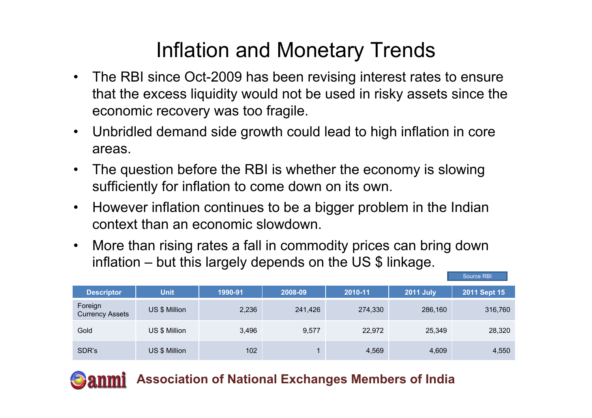### Inflation and Monetary Trends

- The RBI since Oct-2009 has been revising interest rates to ensure that the excess liquidity would not be used in risky assets since the economic recovery was too fragile.
- $\bullet$  Unbridled demand side growth could lead to high inflation in core areas.
- $\bullet$  The question before the RBI is whether the economy is slowing sufficiently for inflation to come down on its own.
- $\bullet$  However inflation continues to be a bigger problem in the Indian context than an economic slowdown.
- $\bullet$  More than rising rates a fall in commodity prices can bring down inflation – but this largely depends on the US \$ linkage.

|                                   |               |         |         |         |                  | Source RBI   |
|-----------------------------------|---------------|---------|---------|---------|------------------|--------------|
| <b>Descriptor</b>                 | <b>Unit</b>   | 1990-91 | 2008-09 | 2010-11 | <b>2011 July</b> | 2011 Sept 15 |
| Foreign<br><b>Currency Assets</b> | US \$ Million | 2,236   | 241,426 | 274,330 | 286,160          | 316,760      |
| Gold                              | US \$ Million | 3,496   | 9,577   | 22,972  | 25,349           | 28,320       |
| SDR's                             | US \$ Million | 102     |         | 4,569   | 4,609            | 4,550        |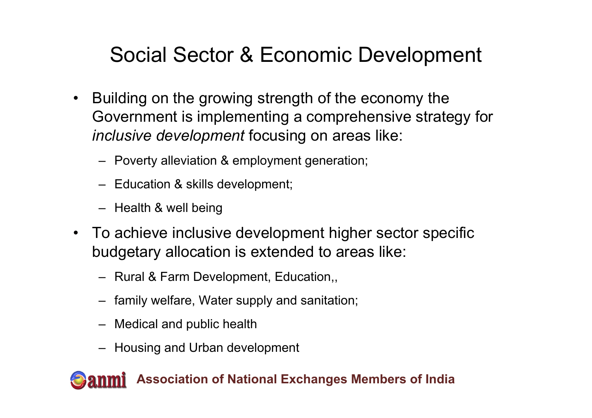### Social Sector & Economic Development

- $\bullet$  Building on the growing strength of the economy the Government is implementing a comprehensive strategy for *inclusive development* focusing on areas like:
	- Poverty alleviation & employment generation;
	- Education & skills development;
	- Health & well being
- To achieve inclusive development higher sector specific budgetary allocation is extended to areas like:
	- Rural & Farm Development, Education,,
	- family welfare, Water supply and sanitation;
	- Medical and public health
	- Housing and Urban development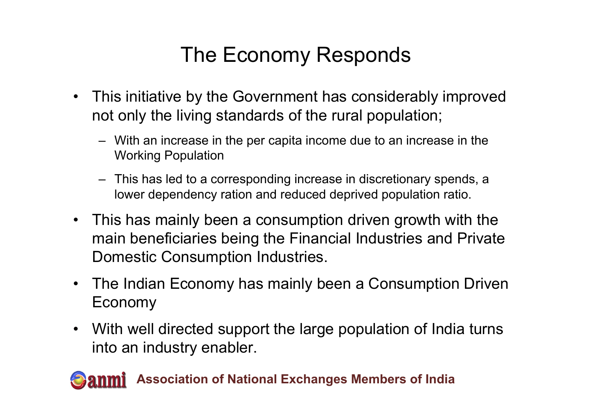### The Economy Responds

- This initiative by the Government has considerably improved not only the living standards of the rural population;
	- With an increase in the per capita income due to an increase in the Working Population
	- This has led to a corresponding increase in discretionary spends, a lower dependency ration and reduced deprived population ratio.
- This has mainly been a consumption driven growth with the main beneficiaries being the Financial Industries and Private Domestic Consumption Industries.
- The Indian Economy has mainly been a Consumption Driven Economy
- With well directed support the large population of India turns into an industry enabler.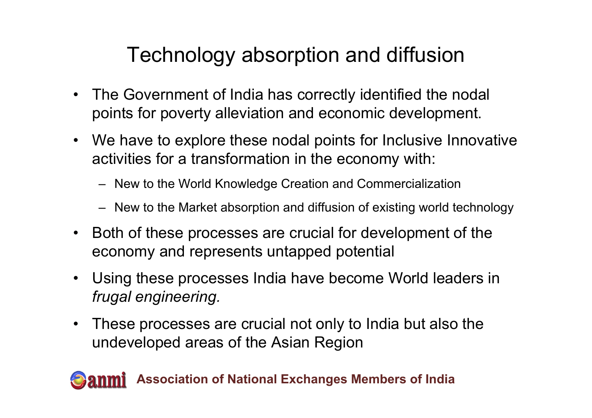### Technology absorption and diffusion

- $\bullet$  The Government of India has correctly identified the nodal points for poverty alleviation and economic development.
- We have to explore these nodal points for Inclusive Innovative activities for a transformation in the economy with:
	- New to the World Knowledge Creation and Commercialization
	- New to the Market absorption and diffusion of existing world technology
- Both of these processes are crucial for development of the economy and represents untapped potential
- Using these processes India have become World leaders in *frugal engineering.*
- • These processes are crucial not only to India but also the undeveloped areas of the Asian Region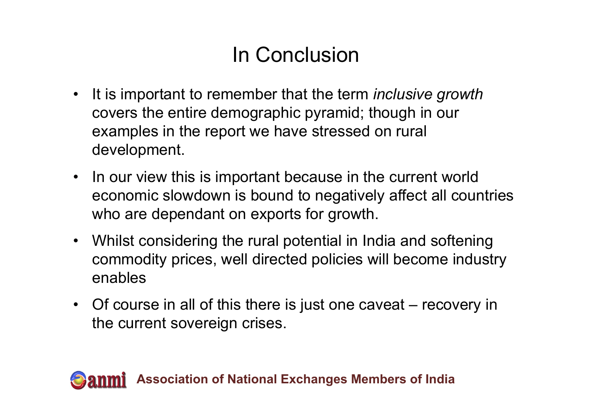### In Conclusion

- It is important to remember that the term *inclusive growth* covers the entire demographic pyramid; though in our examples in the report we have stressed on rural development.
- In our view this is important because in the current world economic slowdown is bound to negatively affect all countries who are dependant on exports for growth.
- Whilst considering the rural potential in India and softening commodity prices, well directed policies will become industry enables
- Of course in all of this there is just one caveat recovery in the current sovereign crises.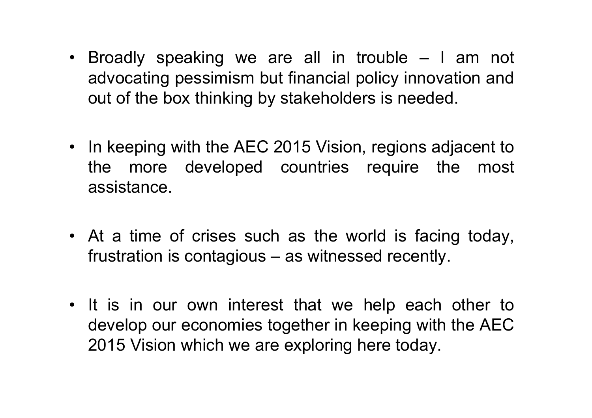- Broadly speaking we are all in trouble I am not advocating pessimism but financial policy innovation and out of the box thinking by stakeholders is needed.
- In keeping with the AEC 2015 Vision, regions adjacent to the more developed countries require the most assistance.
- At a time of crises such as the world is facing today, frustration is contagious – as witnessed recently.
- It is in our own interest that we help each other to develop our economies together in keeping with the AEC 2015 Vision which we are exploring here today.